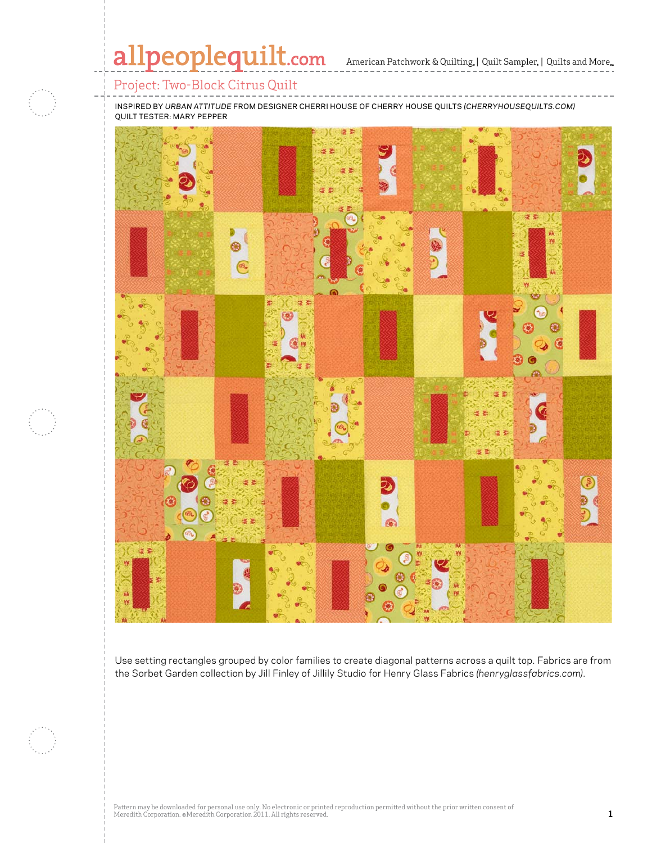# allpeoplequilt.com

American Patchwork & Quilting, | Quilt Sampler, | Quilts and More...

### Project: Two-Block Citrus Quilt

inspired by *urban attitude* from designer cherri house of cherrY house quilts *(CherryHouseQuilts.com)* quilt tester: mary pepper



Use setting rectangles grouped by color families to create diagonal patterns across a quilt top. Fabrics are from the Sorbet Garden collection by Jill Finley of Jillily Studio for Henry Glass Fabrics *(henryglassfabrics.com)*.

Pattern may be downloaded for personal use only. No electronic or printed reproduction permitted without the prior written consent of Meredith Corporation. ©Meredith Corporation 2011. All rights reserved. **1**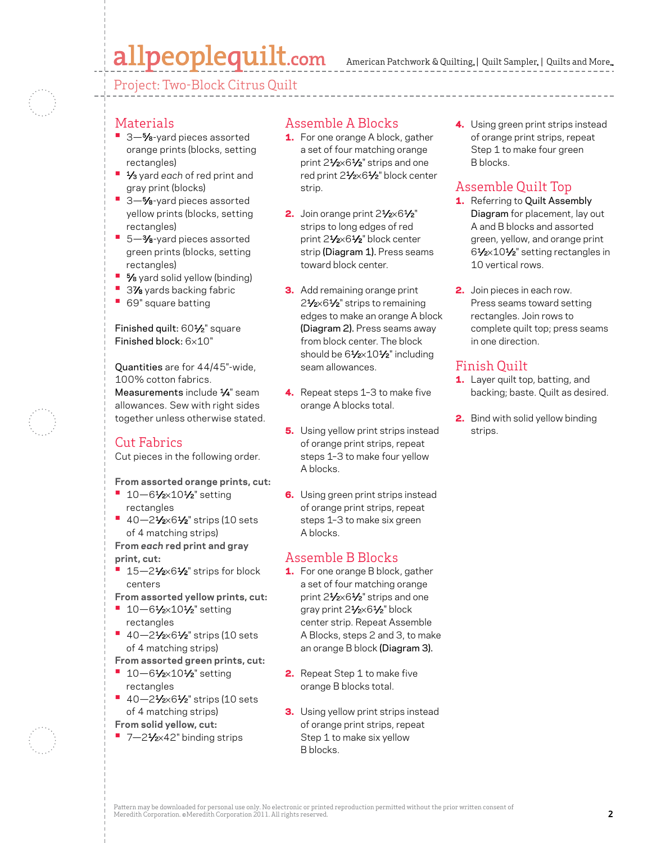# allpeoplequilt.com

American Patchwork & Quilting, | Quilt Sampler, | Quilts and More...

Project: Two-Block Citrus Quilt

### Materials

- 3-<sup>5</sup>⁄8-yard pieces assorted orange prints (blocks, setting rectangles)
- **•**  1⁄3 yard *each* of red print and gray print (blocks)
- **•**  3—5⁄8-yard pieces assorted yellow prints (blocks, setting rectangles)
- **•**  5—3⁄8-yard pieces assorted green prints (blocks, setting rectangles)
- **5⁄8** yard solid yellow (binding)
- 3% yards backing fabric
- **•**  69" square batting

### Finished quilt: 60<sup>1</sup>/<sub>2</sub>" square Finished block: 6×10"

Quantities are for 44/45"-wide, 100% cotton fabrics. Measurements include 1/4" seam allowances. Sew with right sides together unless otherwise stated.

# Cut Fabrics

Cut pieces in the following order.

#### **From assorted orange prints, cut:**

- **•** 10–61⁄2×101⁄2" setting rectangles
- **•**  40—21⁄2×61⁄2" strips (10 sets of 4 matching strips)

**From** *each* **red print and gray print, cut:**

**• 15–21/2×61/2**" strips for block centers

**From assorted yellow prints, cut:**

- **•** 10–61⁄2×101⁄2" setting rectangles
- **•** 40–21⁄2×61⁄2" strips (10 sets of 4 matching strips)

**From assorted green prints, cut:**

- **•** 10–61⁄2×101⁄2" setting rectangles
- **•**  40—21⁄2×61⁄2" strips (10 sets of 4 matching strips)

**From solid yellow, cut:**

■ 7-21⁄<sub>2×42</sub>" binding strips

# Assemble A Blocks

- **1.** For one orange A block, gather a set of four matching orange print 21⁄2×61⁄2" strips and one red print 21/2×61/2" block center strip.
- 2. Join orange print  $2\frac{1}{2} \times 6\frac{1}{2}$ " strips to long edges of red print 21/2×61/2" block center strip (Diagram 1). Press seams toward block center.
- **3.** Add remaining orange print 2<sup>1</sup>/<sub>2</sub>×6<sup>1</sup>/<sub>2</sub>" strips to remaining edges to make an orange A block (Diagram 2). Press seams away from block center. The block should be 61/2×101/2" including seam allowances.
- 4. Repeat steps 1-3 to make five orange A blocks total.
- **5.** Using yellow print strips instead of orange print strips, repeat steps 1–3 to make four yellow A blocks.
- **6.** Using green print strips instead of orange print strips, repeat steps 1–3 to make six green A blocks.

# Assemble B Blocks

- **1.** For one orange B block, gather a set of four matching orange print 21/2×61/2" strips and one gray print 21⁄2×61⁄2" block center strip. Repeat Assemble A Blocks, steps 2 and 3, to make an orange B block (Diagram 3).
- 2. Repeat Step 1 to make five orange B blocks total.
- **3.** Using yellow print strips instead of orange print strips, repeat Step 1 to make six yellow B blocks.

4. Using green print strips instead of orange print strips, repeat Step 1 to make four green B blocks.

# Assemble Quilt Top

- 1. Referring to Quilt Assembly Diagram for placement, lay out A and B blocks and assorted green, yellow, and orange print 61⁄2×101⁄2" setting rectangles in 10 vertical rows.
- 2. Join pieces in each row. Press seams toward setting rectangles. Join rows to complete quilt top; press seams in one direction.

# Finish Quilt

- 1. Layer quilt top, batting, and backing; baste. Quilt as desired.
- **2.** Bind with solid yellow binding strips.